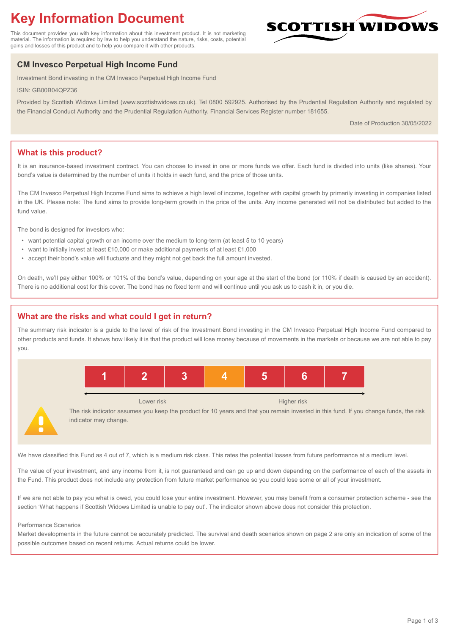# **Key Information Document**

This document provides you with key information about this investment product. It is not marketing material. The information is required by law to help you understand the nature, risks, costs, potential gains and losses of this product and to help you compare it with other products.

# **CM Invesco Perpetual High Income Fund**

Investment Bond investing in the CM Invesco Perpetual High Income Fund

ISIN: GB00B04QPZ36

Provided by Scottish Widows Limited (www.scottishwidows.co.uk). Tel 0800 592925. Authorised by the Prudential Regulation Authority and regulated by the Financial Conduct Authority and the Prudential Regulation Authority. Financial Services Register number 181655.

Date of Production 30/05/2022

**SCOTTISH WIDOW** 

# **What is this product?**

It is an insurance-based investment contract. You can choose to invest in one or more funds we offer. Each fund is divided into units (like shares). Your bond's value is determined by the number of units it holds in each fund, and the price of those units.

The CM Invesco Perpetual High Income Fund aims to achieve a high level of income, together with capital growth by primarily investing in companies listed in the UK. Please note: The fund aims to provide long-term growth in the price of the units. Any income generated will not be distributed but added to the fund value.

The bond is designed for investors who:

- want potential capital growth or an income over the medium to long-term (at least 5 to 10 years)
- want to initially invest at least £10,000 or make additional payments of at least £1,000
- accept their bond's value will fluctuate and they might not get back the full amount invested.

On death, we'll pay either 100% or 101% of the bond's value, depending on your age at the start of the bond (or 110% if death is caused by an accident). There is no additional cost for this cover. The bond has no fixed term and will continue until you ask us to cash it in, or you die.

### **What are the risks and what could I get in return?**

The summary risk indicator is a guide to the level of risk of the Investment Bond investing in the CM Invesco Perpetual High Income Fund compared to other products and funds. It shows how likely it is that the product will lose money because of movements in the markets or because we are not able to pay you.



Lower risk **Higher risk** Higher risk

The risk indicator assumes you keep the product for 10 years and that you remain invested in this fund. If you change funds, the risk indicator may change.

We have classified this Fund as 4 out of 7, which is a medium risk class. This rates the potential losses from future performance at a medium level.

The value of your investment, and any income from it, is not guaranteed and can go up and down depending on the performance of each of the assets in the Fund. This product does not include any protection from future market performance so you could lose some or all of your investment.

If we are not able to pay you what is owed, you could lose your entire investment. However, you may benefit from a consumer protection scheme - see the section 'What happens if Scottish Widows Limited is unable to pay out'. The indicator shown above does not consider this protection.

#### Performance Scenarios

Market developments in the future cannot be accurately predicted. The survival and death scenarios shown on page 2 are only an indication of some of the possible outcomes based on recent returns. Actual returns could be lower.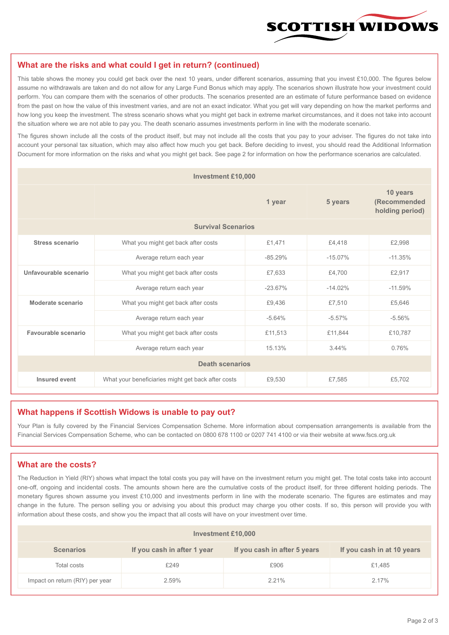

#### **What are the risks and what could I get in return? (continued)**

This table shows the money you could get back over the next 10 years, under different scenarios, assuming that you invest £10,000. The figures below assume no withdrawals are taken and do not allow for any Large Fund Bonus which may apply. The scenarios shown illustrate how your investment could perform. You can compare them with the scenarios of other products. The scenarios presented are an estimate of future performance based on evidence from the past on how the value of this investment varies, and are not an exact indicator. What you get will vary depending on how the market performs and how long you keep the investment. The stress scenario shows what you might get back in extreme market circumstances, and it does not take into account the situation where we are not able to pay you. The death scenario assumes investments perform in line with the moderate scenario.

The figures shown include all the costs of the product itself, but may not include all the costs that you pay to your adviser. The figures do not take into account your personal tax situation, which may also affect how much you get back. Before deciding to invest, you should read the Additional Information Document for more information on the risks and what you might get back. See page 2 for information on how the performance scenarios are calculated.

| <b>Investment £10,000</b> |                                                    |           |           |                                             |  |  |
|---------------------------|----------------------------------------------------|-----------|-----------|---------------------------------------------|--|--|
|                           | 1 year                                             |           | 5 years   | 10 years<br>(Recommended<br>holding period) |  |  |
| <b>Survival Scenarios</b> |                                                    |           |           |                                             |  |  |
| <b>Stress scenario</b>    | What you might get back after costs<br>£1,471      |           | £4.418    | £2,998                                      |  |  |
|                           | $-85.29%$<br>Average return each year              |           | $-15.07%$ | $-11.35%$                                   |  |  |
| Unfavourable scenario     | What you might get back after costs<br>£7,633      |           | £4,700    | £2,917                                      |  |  |
|                           | Average return each year                           | $-23.67%$ | $-14.02%$ | $-11.59%$                                   |  |  |
| Moderate scenario         | What you might get back after costs                | £9,436    | £7,510    | £5,646                                      |  |  |
|                           | Average return each year                           | $-5.64%$  | $-5.57%$  | $-5.56%$                                    |  |  |
| Favourable scenario       | What you might get back after costs                | £11,513   | £11,844   | £10,787                                     |  |  |
| Average return each year  |                                                    | 15.13%    | 3.44%     | 0.76%                                       |  |  |
| <b>Death scenarios</b>    |                                                    |           |           |                                             |  |  |
| Insured event             | What your beneficiaries might get back after costs | £9,530    | £7,585    | £5,702                                      |  |  |

#### **What happens if Scottish Widows is unable to pay out?**

Your Plan is fully covered by the Financial Services Compensation Scheme. More information about compensation arrangements is available from the Financial Services Compensation Scheme, who can be contacted on 0800 678 1100 or 0207 741 4100 or via their website at www.fscs.org.uk

# **What are the costs?**

The Reduction in Yield (RIY) shows what impact the total costs you pay will have on the investment return you might get. The total costs take into account one-off, ongoing and incidental costs. The amounts shown here are the cumulative costs of the product itself, for three different holding periods. The monetary figures shown assume you invest £10,000 and investments perform in line with the moderate scenario. The figures are estimates and may change in the future. The person selling you or advising you about this product may charge you other costs. If so, this person will provide you with information about these costs, and show you the impact that all costs will have on your investment over time.

| Investment £10,000              |                             |                              |                            |  |  |  |
|---------------------------------|-----------------------------|------------------------------|----------------------------|--|--|--|
| <b>Scenarios</b>                | If you cash in after 1 year | If you cash in after 5 years | If you cash in at 10 years |  |  |  |
| Total costs                     | £249                        | £906                         | £1,485                     |  |  |  |
| Impact on return (RIY) per year | 2.59%                       | 2.21%                        | 2.17%                      |  |  |  |